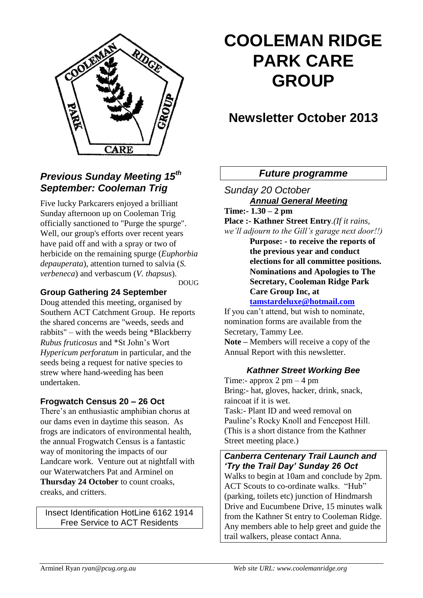

# **COOLEMAN RIDGE PARK CARE GROUP**

# **Newsletter October 2013**

# *Future programme*

*Sunday 20 October Annual General Meeting* **Time:- 1.30 – 2 pm Place :- Kathner Street Entry***.(If it rains,* 

*we'll adjourn to the Gill's garage next door!!)*

**Purpose: - to receive the reports of the previous year and conduct elections for all committee positions. Nominations and Apologies to The Secretary, Cooleman Ridge Park Care Group Inc, at** 

**[tamstardeluxe@hotmail.com](mailto:tamstardeluxe@hotmail.com)**

If you can't attend, but wish to nominate, nomination forms are available from the Secretary, Tammy Lee.

**Note –** Members will receive a copy of the Annual Report with this newsletter.

## *Kathner Street Working Bee*

Time:- approx  $2 \text{ pm} - 4 \text{ pm}$ Bring:- hat, gloves, hacker, drink, snack, raincoat if it is wet. Task:- Plant ID and weed removal on Pauline's Rocky Knoll and Fencepost Hill. (This is a short distance from the Kathner Street meeting place.)

#### *Canberra Centenary Trail Launch and 'Try the Trail Day' Sunday 26 Oct* Walks to begin at 10am and conclude by 2pm.

ACT Scouts to co-ordinate walks. "Hub" (parking, toilets etc) junction of Hindmarsh Drive and Eucumbene Drive, 15 minutes walk from the Kathner St entry to Cooleman Ridge. Any members able to help greet and guide the trail walkers, please contact Anna.

# *Previous Sunday Meeting 15th September: Cooleman Trig*

Five lucky Parkcarers enjoyed a brilliant Sunday afternoon up on Cooleman Trig officially sanctioned to "Purge the spurge". Well, our group's efforts over recent years have paid off and with a spray or two of herbicide on the remaining spurge (*Euphorbia depauperata*), attention turned to salvia (*S. verbeneca*) and verbascum (*V. thapsus*).

DOUG

# **Group Gathering 24 September**

Doug attended this meeting, organised by Southern ACT Catchment Group. He reports the shared concerns are "weeds, seeds and rabbits" – with the weeds being \*Blackberry *Rubus fruticosus* and \*St John's Wort *Hypericum perforatum* in particular, and the seeds being a request for native species to strew where hand-weeding has been undertaken.

# **Frogwatch Census 20 – 26 Oct**

There's an enthusiastic amphibian chorus at our dams even in daytime this season. As frogs are indicators of environmental health, the annual Frogwatch Census is a fantastic way of monitoring the impacts of our Landcare work. Venture out at nightfall with our Waterwatchers Pat and Arminel on **Thursday 24 October** to count croaks, creaks, and critters.

Insect Identification HotLine 6162 1914 Free Service to ACT Residents